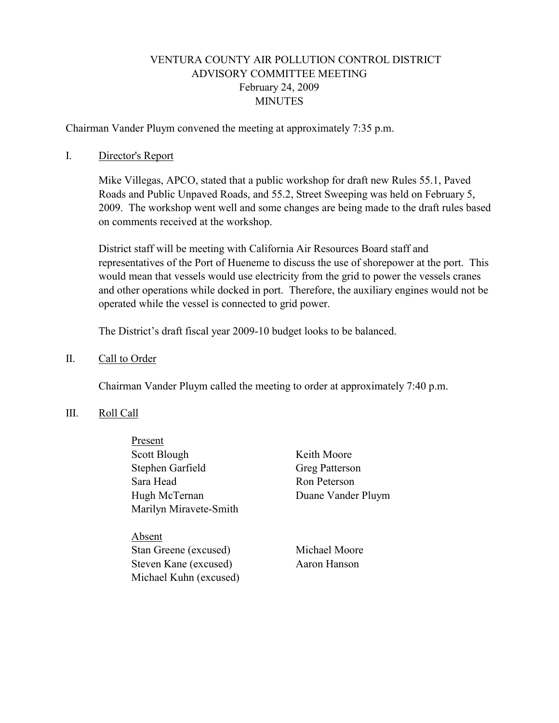# VENTURA COUNTY AIR POLLUTION CONTROL DISTRICT ADVISORY COMMITTEE MEETING February 24, 2009 **MINUTES**

Chairman Vander Pluym convened the meeting at approximately 7:35 p.m.

### I. Director's Report

Mike Villegas, APCO, stated that a public workshop for draft new Rules 55.1, Paved Roads and Public Unpaved Roads, and 55.2, Street Sweeping was held on February 5, 2009. The workshop went well and some changes are being made to the draft rules based on comments received at the workshop.

District staff will be meeting with California Air Resources Board staff and representatives of the Port of Hueneme to discuss the use of shorepower at the port. This would mean that vessels would use electricity from the grid to power the vessels cranes and other operations while docked in port. Therefore, the auxiliary engines would not be operated while the vessel is connected to grid power.

The District's draft fiscal year 2009-10 budget looks to be balanced.

### II. Call to Order

Chairman Vander Pluym called the meeting to order at approximately 7:40 p.m.

#### III. Roll Call

| Present                |                    |
|------------------------|--------------------|
| Scott Blough           | Keith Moore        |
| Stephen Garfield       | Greg Patterson     |
| Sara Head              | Ron Peterson       |
| Hugh McTernan          | Duane Vander Pluym |
| Marilyn Miravete-Smith |                    |
|                        |                    |
| .hsent.                |                    |
|                        |                    |

 Stan Greene (excused) Michael Moore Steven Kane (excused) Aaron Hanson Michael Kuhn (excused)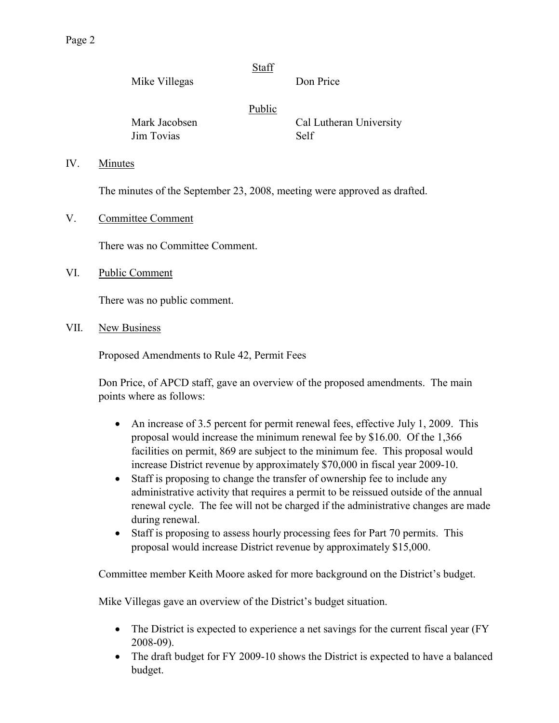|    |               | Staff  |                         |
|----|---------------|--------|-------------------------|
|    | Mike Villegas |        | Don Price               |
|    |               | Public |                         |
|    | Mark Jacobsen |        | Cal Lutheran University |
|    | Jim Tovias    |        | Self                    |
| IV | Minutes       |        |                         |

IV. Minutes

The minutes of the September 23, 2008, meeting were approved as drafted.

V. Committee Comment

There was no Committee Comment.

VI. Public Comment

There was no public comment.

VII. New Business

Proposed Amendments to Rule 42, Permit Fees

Don Price, of APCD staff, gave an overview of the proposed amendments. The main points where as follows:

- An increase of 3.5 percent for permit renewal fees, effective July 1, 2009. This proposal would increase the minimum renewal fee by \$16.00. Of the 1,366 facilities on permit, 869 are subject to the minimum fee. This proposal would increase District revenue by approximately \$70,000 in fiscal year 2009-10.
- Staff is proposing to change the transfer of ownership fee to include any administrative activity that requires a permit to be reissued outside of the annual renewal cycle. The fee will not be charged if the administrative changes are made during renewal.
- Staff is proposing to assess hourly processing fees for Part 70 permits. This proposal would increase District revenue by approximately \$15,000.

Committee member Keith Moore asked for more background on the District's budget.

Mike Villegas gave an overview of the District's budget situation.

- The District is expected to experience a net savings for the current fiscal year (FY) 2008-09).
- The draft budget for FY 2009-10 shows the District is expected to have a balanced budget.